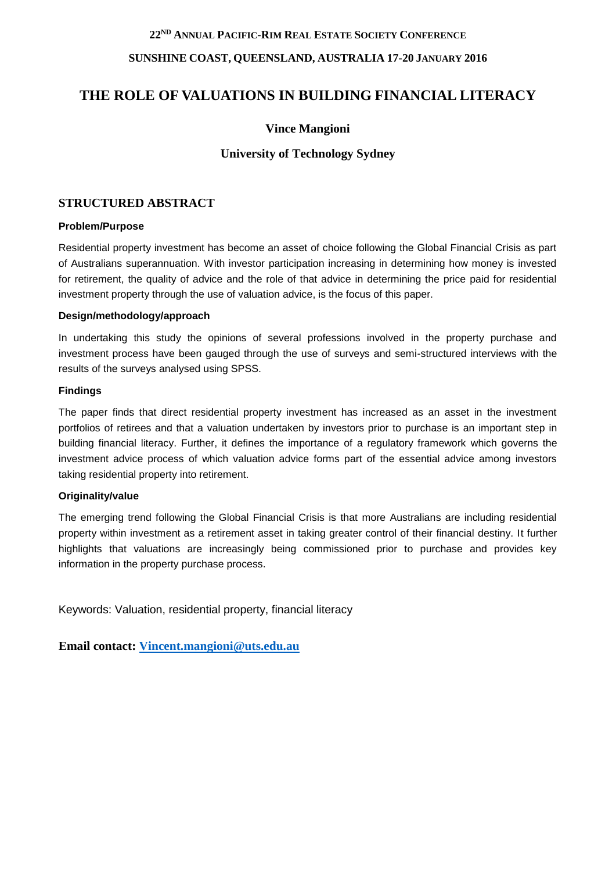## **22 ND ANNUAL PACIFIC-RIM REAL ESTATE SOCIETY CONFERENCE**

## **SUNSHINE COAST, QUEENSLAND, AUSTRALIA 17-20 JANUARY 2016**

# **THE ROLE OF VALUATIONS IN BUILDING FINANCIAL LITERACY**

# **Vince Mangioni**

# **University of Technology Sydney**

# **STRUCTURED ABSTRACT**

#### **Problem/Purpose**

Residential property investment has become an asset of choice following the Global Financial Crisis as part of Australians superannuation. With investor participation increasing in determining how money is invested for retirement, the quality of advice and the role of that advice in determining the price paid for residential investment property through the use of valuation advice, is the focus of this paper.

#### **Design/methodology/approach**

In undertaking this study the opinions of several professions involved in the property purchase and investment process have been gauged through the use of surveys and semi-structured interviews with the results of the surveys analysed using SPSS.

#### **Findings**

The paper finds that direct residential property investment has increased as an asset in the investment portfolios of retirees and that a valuation undertaken by investors prior to purchase is an important step in building financial literacy. Further, it defines the importance of a regulatory framework which governs the investment advice process of which valuation advice forms part of the essential advice among investors taking residential property into retirement.

#### **Originality/value**

The emerging trend following the Global Financial Crisis is that more Australians are including residential property within investment as a retirement asset in taking greater control of their financial destiny. It further highlights that valuations are increasingly being commissioned prior to purchase and provides key information in the property purchase process.

Keywords: Valuation, residential property, financial literacy

**Email contact: [Vincent.mangioni@uts.edu.au](mailto:Vincent.mangioni@uts.edu.au)**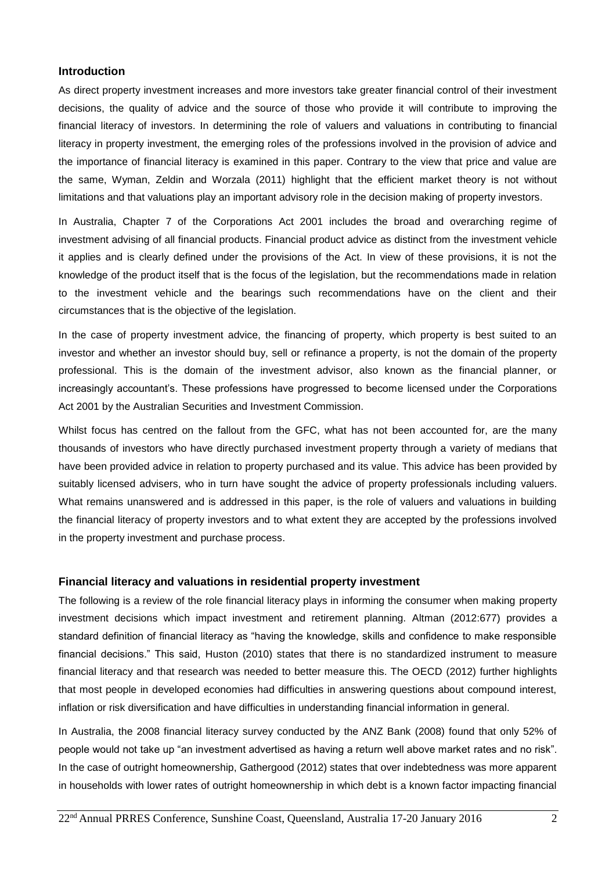#### **Introduction**

As direct property investment increases and more investors take greater financial control of their investment decisions, the quality of advice and the source of those who provide it will contribute to improving the financial literacy of investors. In determining the role of valuers and valuations in contributing to financial literacy in property investment, the emerging roles of the professions involved in the provision of advice and the importance of financial literacy is examined in this paper. Contrary to the view that price and value are the same, Wyman, Zeldin and Worzala (2011) highlight that the efficient market theory is not without limitations and that valuations play an important advisory role in the decision making of property investors.

In Australia, Chapter 7 of the Corporations Act 2001 includes the broad and overarching regime of investment advising of all financial products. Financial product advice as distinct from the investment vehicle it applies and is clearly defined under the provisions of the Act. In view of these provisions, it is not the knowledge of the product itself that is the focus of the legislation, but the recommendations made in relation to the investment vehicle and the bearings such recommendations have on the client and their circumstances that is the objective of the legislation.

In the case of property investment advice, the financing of property, which property is best suited to an investor and whether an investor should buy, sell or refinance a property, is not the domain of the property professional. This is the domain of the investment advisor, also known as the financial planner, or increasingly accountant's. These professions have progressed to become licensed under the Corporations Act 2001 by the Australian Securities and Investment Commission.

Whilst focus has centred on the fallout from the GFC, what has not been accounted for, are the many thousands of investors who have directly purchased investment property through a variety of medians that have been provided advice in relation to property purchased and its value. This advice has been provided by suitably licensed advisers, who in turn have sought the advice of property professionals including valuers. What remains unanswered and is addressed in this paper, is the role of valuers and valuations in building the financial literacy of property investors and to what extent they are accepted by the professions involved in the property investment and purchase process.

#### **Financial literacy and valuations in residential property investment**

The following is a review of the role financial literacy plays in informing the consumer when making property investment decisions which impact investment and retirement planning. Altman (2012:677) provides a standard definition of financial literacy as "having the knowledge, skills and confidence to make responsible financial decisions." This said, Huston (2010) states that there is no standardized instrument to measure financial literacy and that research was needed to better measure this. The OECD (2012) further highlights that most people in developed economies had difficulties in answering questions about compound interest, inflation or risk diversification and have difficulties in understanding financial information in general.

In Australia, the 2008 financial literacy survey conducted by the ANZ Bank (2008) found that only 52% of people would not take up "an investment advertised as having a return well above market rates and no risk". In the case of outright homeownership, Gathergood (2012) states that over indebtedness was more apparent in households with lower rates of outright homeownership in which debt is a known factor impacting financial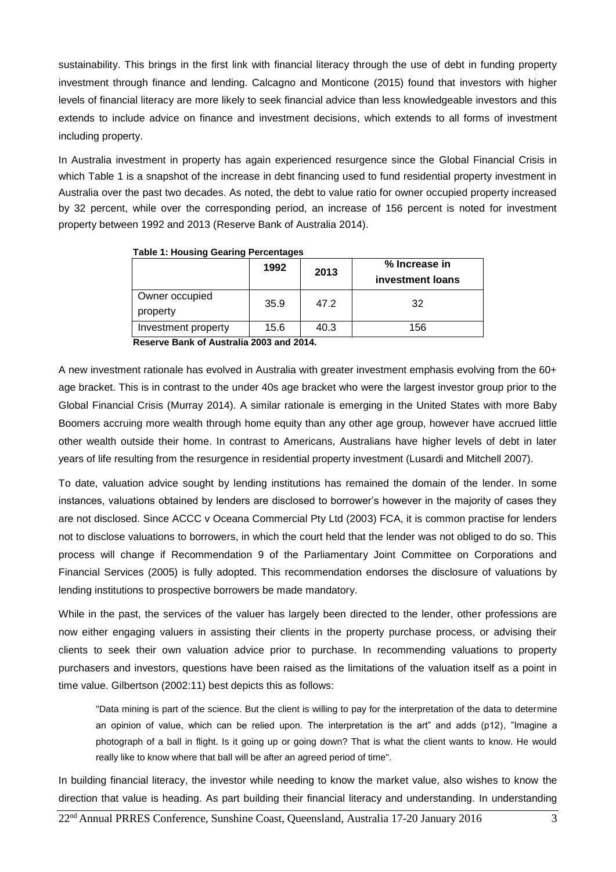sustainability. This brings in the first link with financial literacy through the use of debt in funding property investment through finance and lending. Calcagno and Monticone (2015) found that investors with higher levels of financial literacy are more likely to seek financial advice than less knowledgeable investors and this extends to include advice on finance and investment decisions, which extends to all forms of investment including property.

In Australia investment in property has again experienced resurgence since the Global Financial Crisis in which Table 1 is a snapshot of the increase in debt financing used to fund residential property investment in Australia over the past two decades. As noted, the debt to value ratio for owner occupied property increased by 32 percent, while over the corresponding period, an increase of 156 percent is noted for investment property between 1992 and 2013 (Reserve Bank of Australia 2014).

|                            | 1992 | 2013 | % Increase in<br>investment loans |
|----------------------------|------|------|-----------------------------------|
| Owner occupied<br>property | 35.9 | 47.2 | 32                                |
| Investment property        | 15.6 | 40.3 | 156                               |

 **Table 1: Housing Gearing Percentages**

 **Reserve Bank of Australia 2003 and 2014.**

A new investment rationale has evolved in Australia with greater investment emphasis evolving from the 60+ age bracket. This is in contrast to the under 40s age bracket who were the largest investor group prior to the Global Financial Crisis (Murray 2014). A similar rationale is emerging in the United States with more Baby Boomers accruing more wealth through home equity than any other age group, however have accrued little other wealth outside their home. In contrast to Americans, Australians have higher levels of debt in later years of life resulting from the resurgence in residential property investment (Lusardi and Mitchell 2007).

To date, valuation advice sought by lending institutions has remained the domain of the lender. In some instances, valuations obtained by lenders are disclosed to borrower's however in the majority of cases they are not disclosed. Since ACCC v Oceana Commercial Pty Ltd (2003) FCA, it is common practise for lenders not to disclose valuations to borrowers, in which the court held that the lender was not obliged to do so. This process will change if Recommendation 9 of the Parliamentary Joint Committee on Corporations and Financial Services (2005) is fully adopted. This recommendation endorses the disclosure of valuations by lending institutions to prospective borrowers be made mandatory.

While in the past, the services of the valuer has largely been directed to the lender, other professions are now either engaging valuers in assisting their clients in the property purchase process, or advising their clients to seek their own valuation advice prior to purchase. In recommending valuations to property purchasers and investors, questions have been raised as the limitations of the valuation itself as a point in time value. Gilbertson (2002:11) best depicts this as follows:

"Data mining is part of the science. But the client is willing to pay for the interpretation of the data to determine an opinion of value, which can be relied upon. The interpretation is the art" and adds (p12), "Imagine a photograph of a ball in flight. Is it going up or going down? That is what the client wants to know. He would really like to know where that ball will be after an agreed period of time".

In building financial literacy, the investor while needing to know the market value, also wishes to know the direction that value is heading. As part building their financial literacy and understanding. In understanding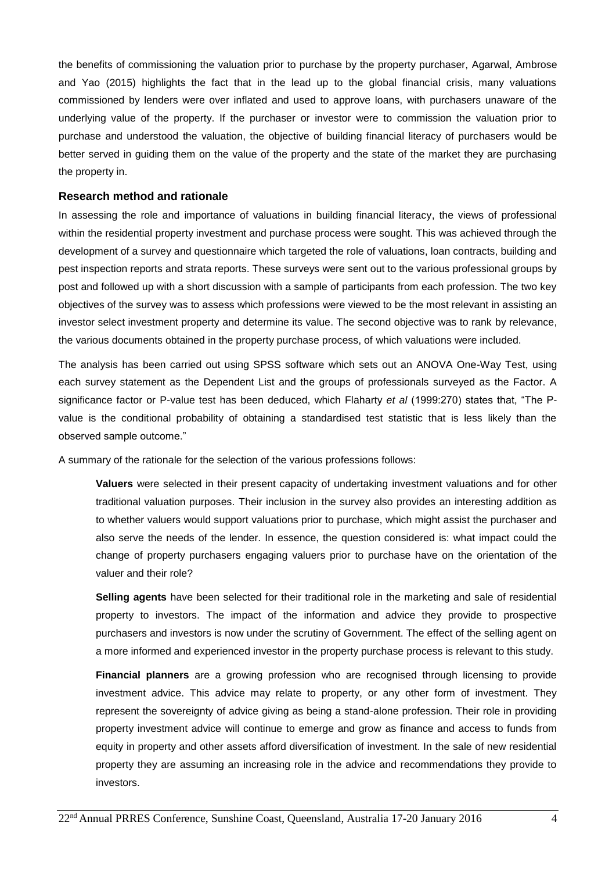the benefits of commissioning the valuation prior to purchase by the property purchaser, Agarwal, Ambrose and Yao (2015) highlights the fact that in the lead up to the global financial crisis, many valuations commissioned by lenders were over inflated and used to approve loans, with purchasers unaware of the underlying value of the property. If the purchaser or investor were to commission the valuation prior to purchase and understood the valuation, the objective of building financial literacy of purchasers would be better served in guiding them on the value of the property and the state of the market they are purchasing the property in.

#### **Research method and rationale**

In assessing the role and importance of valuations in building financial literacy, the views of professional within the residential property investment and purchase process were sought. This was achieved through the development of a survey and questionnaire which targeted the role of valuations, loan contracts, building and pest inspection reports and strata reports. These surveys were sent out to the various professional groups by post and followed up with a short discussion with a sample of participants from each profession. The two key objectives of the survey was to assess which professions were viewed to be the most relevant in assisting an investor select investment property and determine its value. The second objective was to rank by relevance, the various documents obtained in the property purchase process, of which valuations were included.

The analysis has been carried out using SPSS software which sets out an ANOVA One-Way Test, using each survey statement as the Dependent List and the groups of professionals surveyed as the Factor. A significance factor or P-value test has been deduced, which Flaharty *et al* (1999:270) states that, "The Pvalue is the conditional probability of obtaining a standardised test statistic that is less likely than the observed sample outcome."

A summary of the rationale for the selection of the various professions follows:

**Valuers** were selected in their present capacity of undertaking investment valuations and for other traditional valuation purposes. Their inclusion in the survey also provides an interesting addition as to whether valuers would support valuations prior to purchase, which might assist the purchaser and also serve the needs of the lender. In essence, the question considered is: what impact could the change of property purchasers engaging valuers prior to purchase have on the orientation of the valuer and their role?

**Selling agents** have been selected for their traditional role in the marketing and sale of residential property to investors. The impact of the information and advice they provide to prospective purchasers and investors is now under the scrutiny of Government. The effect of the selling agent on a more informed and experienced investor in the property purchase process is relevant to this study.

**Financial planners** are a growing profession who are recognised through licensing to provide investment advice. This advice may relate to property, or any other form of investment. They represent the sovereignty of advice giving as being a stand-alone profession. Their role in providing property investment advice will continue to emerge and grow as finance and access to funds from equity in property and other assets afford diversification of investment. In the sale of new residential property they are assuming an increasing role in the advice and recommendations they provide to investors.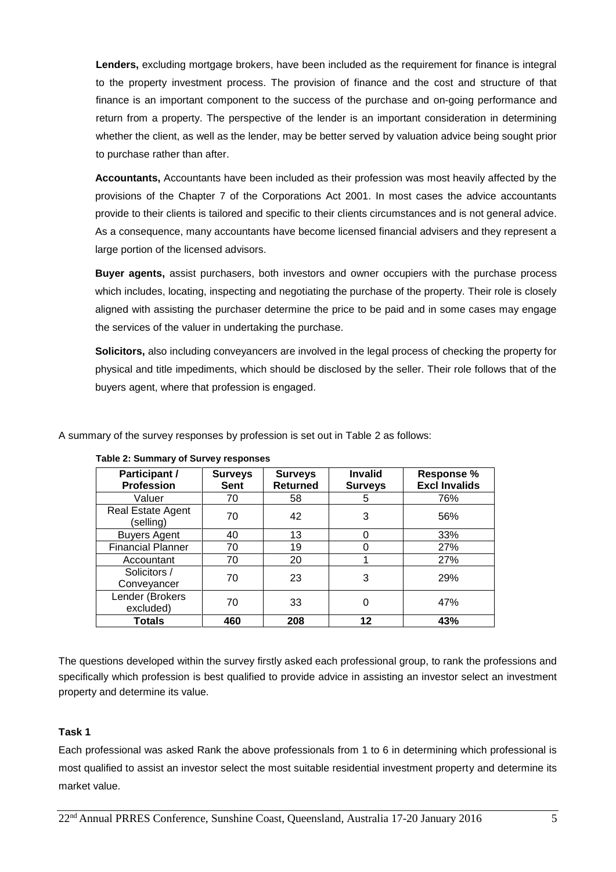**Lenders,** excluding mortgage brokers, have been included as the requirement for finance is integral to the property investment process. The provision of finance and the cost and structure of that finance is an important component to the success of the purchase and on-going performance and return from a property. The perspective of the lender is an important consideration in determining whether the client, as well as the lender, may be better served by valuation advice being sought prior to purchase rather than after.

**Accountants,** Accountants have been included as their profession was most heavily affected by the provisions of the Chapter 7 of the Corporations Act 2001. In most cases the advice accountants provide to their clients is tailored and specific to their clients circumstances and is not general advice. As a consequence, many accountants have become licensed financial advisers and they represent a large portion of the licensed advisors.

**Buyer agents,** assist purchasers, both investors and owner occupiers with the purchase process which includes, locating, inspecting and negotiating the purchase of the property. Their role is closely aligned with assisting the purchaser determine the price to be paid and in some cases may engage the services of the valuer in undertaking the purchase.

**Solicitors,** also including conveyancers are involved in the legal process of checking the property for physical and title impediments, which should be disclosed by the seller. Their role follows that of the buyers agent, where that profession is engaged.

| A summary of the survey responses by profession is set out in Table 2 as follows: |  |
|-----------------------------------------------------------------------------------|--|
|                                                                                   |  |

| Participant /<br><b>Profession</b> | <b>Surveys</b><br><b>Sent</b> | <b>Surveys</b><br><b>Returned</b> | <b>Invalid</b><br><b>Surveys</b> | <b>Response %</b><br><b>Excl Invalids</b> |
|------------------------------------|-------------------------------|-----------------------------------|----------------------------------|-------------------------------------------|
| Valuer                             | 70                            | 58                                | 5                                | 76%                                       |
| Real Estate Agent<br>(selling)     | 70                            | 42                                | 3                                | 56%                                       |
| <b>Buyers Agent</b>                | 40                            | 13                                | 0                                | 33%                                       |
| <b>Financial Planner</b>           | 70                            | 19                                | 0                                | 27%                                       |
| Accountant                         | 70                            | 20                                |                                  | 27%                                       |
| Solicitors /<br>Conveyancer        | 70                            | 23                                | 3                                | 29%                                       |
| Lender (Brokers<br>excluded)       | 70                            | 33                                | 0                                | 47%                                       |
| <b>Totals</b>                      | 460                           | 208                               | 12                               | 43%                                       |

**Table 2: Summary of Survey responses**

The questions developed within the survey firstly asked each professional group, to rank the professions and specifically which profession is best qualified to provide advice in assisting an investor select an investment property and determine its value.

# **Task 1**

Each professional was asked Rank the above professionals from 1 to 6 in determining which professional is most qualified to assist an investor select the most suitable residential investment property and determine its market value.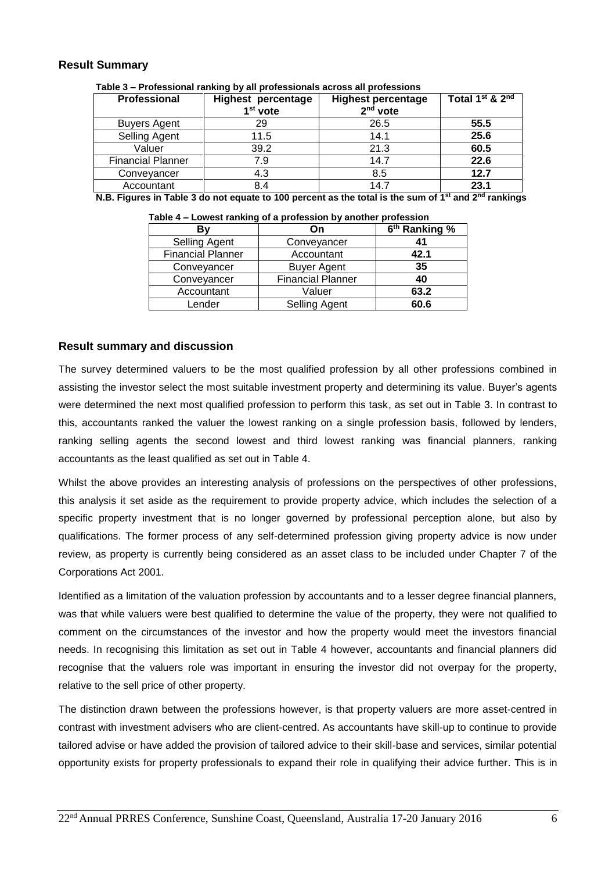## **Result Summary**

| <u>1806 J – From Bound Family by an professionals across an professions</u> |                           |                           |                           |  |  |
|-----------------------------------------------------------------------------|---------------------------|---------------------------|---------------------------|--|--|
| <b>Professional</b>                                                         | <b>Highest percentage</b> | <b>Highest percentage</b> | Total $1^{st}$ & $2^{nd}$ |  |  |
|                                                                             | $1st$ vote                | $2nd$ vote                |                           |  |  |
| <b>Buyers Agent</b>                                                         | 29                        | 26.5                      | 55.5                      |  |  |
| <b>Selling Agent</b>                                                        | 11.5                      | 14.1                      | 25.6                      |  |  |
| Valuer                                                                      | 39.2                      | 21.3                      | 60.5                      |  |  |
| <b>Financial Planner</b>                                                    | 7.9                       | 14.7                      | 22.6                      |  |  |
| Conveyancer                                                                 | 4.3                       | 8.5                       | 12.7                      |  |  |
| Accountant                                                                  | 8.4                       | 14.7                      | 23.1                      |  |  |

 **Table 3 – Professional ranking by all professionals across all professions**

 **N.B. Figures in Table 3 do not equate to 100 percent as the total is the sum of 1st and 2nd rankings**

| <u> Table – Lowest Taliking of a profession by another profession</u> |                          |                           |  |  |  |
|-----------------------------------------------------------------------|--------------------------|---------------------------|--|--|--|
| Βv                                                                    | On                       | 6 <sup>th</sup> Ranking % |  |  |  |
| Selling Agent                                                         | Conveyancer              | 41                        |  |  |  |
| <b>Financial Planner</b>                                              | Accountant               | 42.1                      |  |  |  |
| Conveyancer                                                           | <b>Buyer Agent</b>       | 35                        |  |  |  |
| Conveyancer                                                           | <b>Financial Planner</b> | 40                        |  |  |  |
| Accountant                                                            | Valuer                   | 63.2                      |  |  |  |
| Lender                                                                | Selling Agent            | 60.6                      |  |  |  |

 **Table 4 – Lowest ranking of a profession by another profession**

## **Result summary and discussion**

The survey determined valuers to be the most qualified profession by all other professions combined in assisting the investor select the most suitable investment property and determining its value. Buyer's agents were determined the next most qualified profession to perform this task, as set out in Table 3. In contrast to this, accountants ranked the valuer the lowest ranking on a single profession basis, followed by lenders, ranking selling agents the second lowest and third lowest ranking was financial planners, ranking accountants as the least qualified as set out in Table 4.

Whilst the above provides an interesting analysis of professions on the perspectives of other professions, this analysis it set aside as the requirement to provide property advice, which includes the selection of a specific property investment that is no longer governed by professional perception alone, but also by qualifications. The former process of any self-determined profession giving property advice is now under review, as property is currently being considered as an asset class to be included under Chapter 7 of the Corporations Act 2001.

Identified as a limitation of the valuation profession by accountants and to a lesser degree financial planners, was that while valuers were best qualified to determine the value of the property, they were not qualified to comment on the circumstances of the investor and how the property would meet the investors financial needs. In recognising this limitation as set out in Table 4 however, accountants and financial planners did recognise that the valuers role was important in ensuring the investor did not overpay for the property, relative to the sell price of other property.

The distinction drawn between the professions however, is that property valuers are more asset-centred in contrast with investment advisers who are client-centred. As accountants have skill-up to continue to provide tailored advise or have added the provision of tailored advice to their skill-base and services, similar potential opportunity exists for property professionals to expand their role in qualifying their advice further. This is in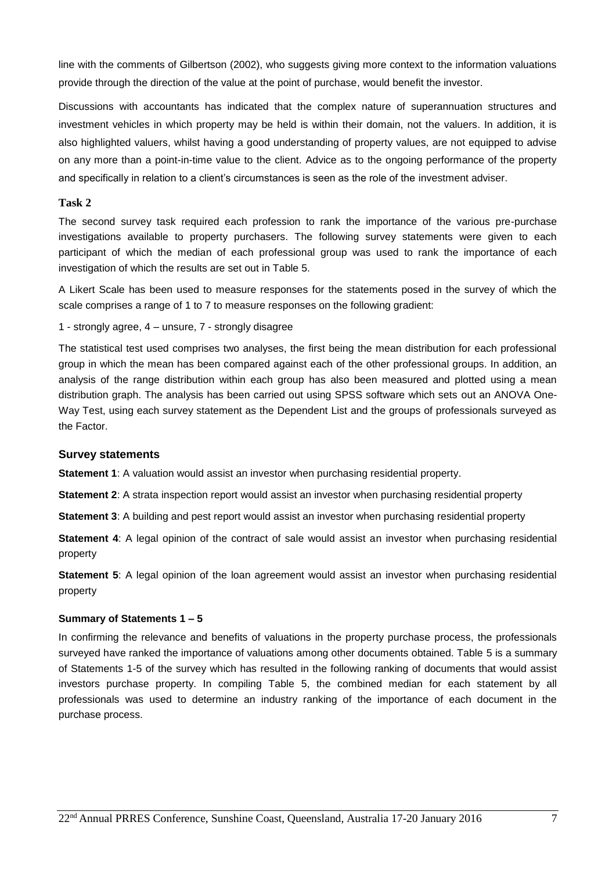line with the comments of Gilbertson (2002), who suggests giving more context to the information valuations provide through the direction of the value at the point of purchase, would benefit the investor.

Discussions with accountants has indicated that the complex nature of superannuation structures and investment vehicles in which property may be held is within their domain, not the valuers. In addition, it is also highlighted valuers, whilst having a good understanding of property values, are not equipped to advise on any more than a point-in-time value to the client. Advice as to the ongoing performance of the property and specifically in relation to a client's circumstances is seen as the role of the investment adviser.

#### **Task 2**

The second survey task required each profession to rank the importance of the various pre-purchase investigations available to property purchasers. The following survey statements were given to each participant of which the median of each professional group was used to rank the importance of each investigation of which the results are set out in Table 5.

A Likert Scale has been used to measure responses for the statements posed in the survey of which the scale comprises a range of 1 to 7 to measure responses on the following gradient:

1 - strongly agree, 4 – unsure, 7 - strongly disagree

The statistical test used comprises two analyses, the first being the mean distribution for each professional group in which the mean has been compared against each of the other professional groups. In addition, an analysis of the range distribution within each group has also been measured and plotted using a mean distribution graph. The analysis has been carried out using SPSS software which sets out an ANOVA One-Way Test, using each survey statement as the Dependent List and the groups of professionals surveyed as the Factor.

#### **Survey statements**

**Statement 1**: A valuation would assist an investor when purchasing residential property.

**Statement 2**: A strata inspection report would assist an investor when purchasing residential property

**Statement 3**: A building and pest report would assist an investor when purchasing residential property

**Statement 4**: A legal opinion of the contract of sale would assist an investor when purchasing residential property

**Statement 5**: A legal opinion of the loan agreement would assist an investor when purchasing residential property

#### **Summary of Statements 1 – 5**

In confirming the relevance and benefits of valuations in the property purchase process, the professionals surveyed have ranked the importance of valuations among other documents obtained. Table 5 is a summary of Statements 1-5 of the survey which has resulted in the following ranking of documents that would assist investors purchase property. In compiling Table 5, the combined median for each statement by all professionals was used to determine an industry ranking of the importance of each document in the purchase process.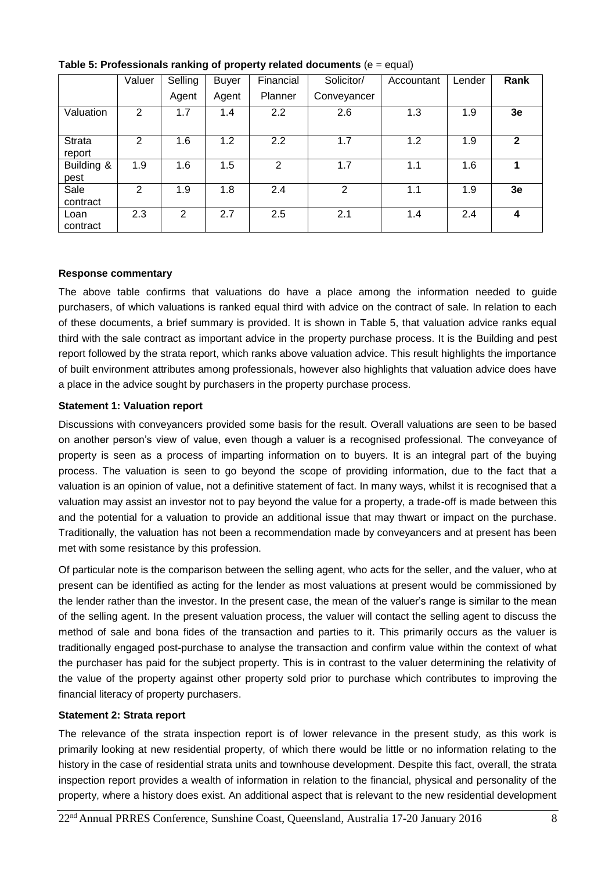|                         | Valuer         | Selling | <b>Buyer</b> | Financial | Solicitor/  | Accountant | Lender | Rank         |
|-------------------------|----------------|---------|--------------|-----------|-------------|------------|--------|--------------|
|                         |                | Agent   | Agent        | Planner   | Conveyancer |            |        |              |
| Valuation               | $\overline{2}$ | 1.7     | 1.4          | 2.2       | 2.6         | 1.3        | 1.9    | 3e           |
| <b>Strata</b><br>report | 2              | 1.6     | 1.2          | 2.2       | 1.7         | 1.2        | 1.9    | $\mathbf{2}$ |
| Building &<br>pest      | 1.9            | 1.6     | 1.5          | 2         | 1.7         | 1.1        | 1.6    | 1            |
| Sale<br>contract        | 2              | 1.9     | 1.8          | 2.4       | 2           | 1.1        | 1.9    | 3e           |
| Loan<br>contract        | 2.3            | 2       | 2.7          | 2.5       | 2.1         | 1.4        | 2.4    | 4            |

**Table 5: Professionals ranking of property related documents** (e = equal)

## **Response commentary**

The above table confirms that valuations do have a place among the information needed to guide purchasers, of which valuations is ranked equal third with advice on the contract of sale. In relation to each of these documents, a brief summary is provided. It is shown in Table 5, that valuation advice ranks equal third with the sale contract as important advice in the property purchase process. It is the Building and pest report followed by the strata report, which ranks above valuation advice. This result highlights the importance of built environment attributes among professionals, however also highlights that valuation advice does have a place in the advice sought by purchasers in the property purchase process.

## **Statement 1: Valuation report**

Discussions with conveyancers provided some basis for the result. Overall valuations are seen to be based on another person's view of value, even though a valuer is a recognised professional. The conveyance of property is seen as a process of imparting information on to buyers. It is an integral part of the buying process. The valuation is seen to go beyond the scope of providing information, due to the fact that a valuation is an opinion of value, not a definitive statement of fact. In many ways, whilst it is recognised that a valuation may assist an investor not to pay beyond the value for a property, a trade-off is made between this and the potential for a valuation to provide an additional issue that may thwart or impact on the purchase. Traditionally, the valuation has not been a recommendation made by conveyancers and at present has been met with some resistance by this profession.

Of particular note is the comparison between the selling agent, who acts for the seller, and the valuer, who at present can be identified as acting for the lender as most valuations at present would be commissioned by the lender rather than the investor. In the present case, the mean of the valuer's range is similar to the mean of the selling agent. In the present valuation process, the valuer will contact the selling agent to discuss the method of sale and bona fides of the transaction and parties to it. This primarily occurs as the valuer is traditionally engaged post-purchase to analyse the transaction and confirm value within the context of what the purchaser has paid for the subject property. This is in contrast to the valuer determining the relativity of the value of the property against other property sold prior to purchase which contributes to improving the financial literacy of property purchasers.

#### **Statement 2: Strata report**

The relevance of the strata inspection report is of lower relevance in the present study, as this work is primarily looking at new residential property, of which there would be little or no information relating to the history in the case of residential strata units and townhouse development. Despite this fact, overall, the strata inspection report provides a wealth of information in relation to the financial, physical and personality of the property, where a history does exist. An additional aspect that is relevant to the new residential development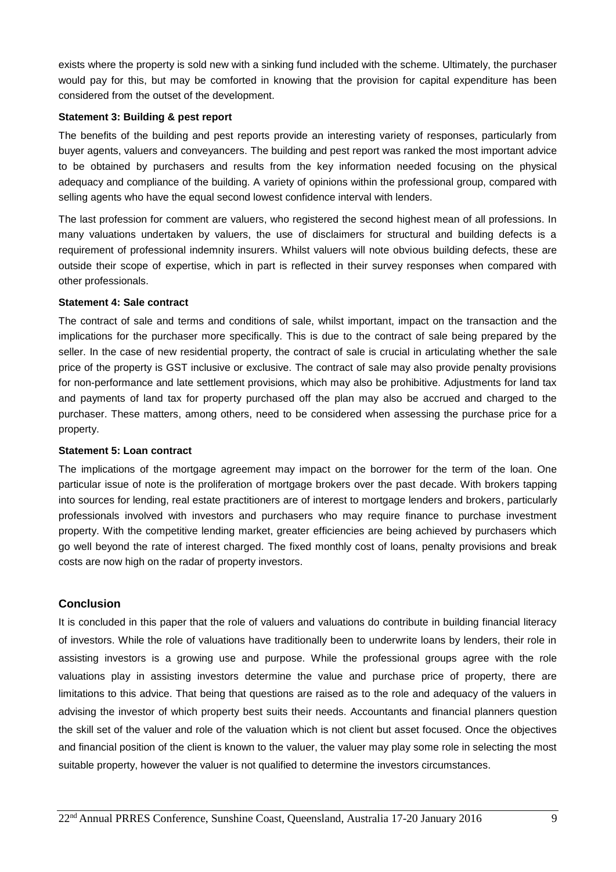exists where the property is sold new with a sinking fund included with the scheme. Ultimately, the purchaser would pay for this, but may be comforted in knowing that the provision for capital expenditure has been considered from the outset of the development.

#### **Statement 3: Building & pest report**

The benefits of the building and pest reports provide an interesting variety of responses, particularly from buyer agents, valuers and conveyancers. The building and pest report was ranked the most important advice to be obtained by purchasers and results from the key information needed focusing on the physical adequacy and compliance of the building. A variety of opinions within the professional group, compared with selling agents who have the equal second lowest confidence interval with lenders.

The last profession for comment are valuers, who registered the second highest mean of all professions. In many valuations undertaken by valuers, the use of disclaimers for structural and building defects is a requirement of professional indemnity insurers. Whilst valuers will note obvious building defects, these are outside their scope of expertise, which in part is reflected in their survey responses when compared with other professionals.

## **Statement 4: Sale contract**

The contract of sale and terms and conditions of sale, whilst important, impact on the transaction and the implications for the purchaser more specifically. This is due to the contract of sale being prepared by the seller. In the case of new residential property, the contract of sale is crucial in articulating whether the sale price of the property is GST inclusive or exclusive. The contract of sale may also provide penalty provisions for non-performance and late settlement provisions, which may also be prohibitive. Adjustments for land tax and payments of land tax for property purchased off the plan may also be accrued and charged to the purchaser. These matters, among others, need to be considered when assessing the purchase price for a property.

#### **Statement 5: Loan contract**

The implications of the mortgage agreement may impact on the borrower for the term of the loan. One particular issue of note is the proliferation of mortgage brokers over the past decade. With brokers tapping into sources for lending, real estate practitioners are of interest to mortgage lenders and brokers, particularly professionals involved with investors and purchasers who may require finance to purchase investment property. With the competitive lending market, greater efficiencies are being achieved by purchasers which go well beyond the rate of interest charged. The fixed monthly cost of loans, penalty provisions and break costs are now high on the radar of property investors.

# **Conclusion**

It is concluded in this paper that the role of valuers and valuations do contribute in building financial literacy of investors. While the role of valuations have traditionally been to underwrite loans by lenders, their role in assisting investors is a growing use and purpose. While the professional groups agree with the role valuations play in assisting investors determine the value and purchase price of property, there are limitations to this advice. That being that questions are raised as to the role and adequacy of the valuers in advising the investor of which property best suits their needs. Accountants and financial planners question the skill set of the valuer and role of the valuation which is not client but asset focused. Once the objectives and financial position of the client is known to the valuer, the valuer may play some role in selecting the most suitable property, however the valuer is not qualified to determine the investors circumstances.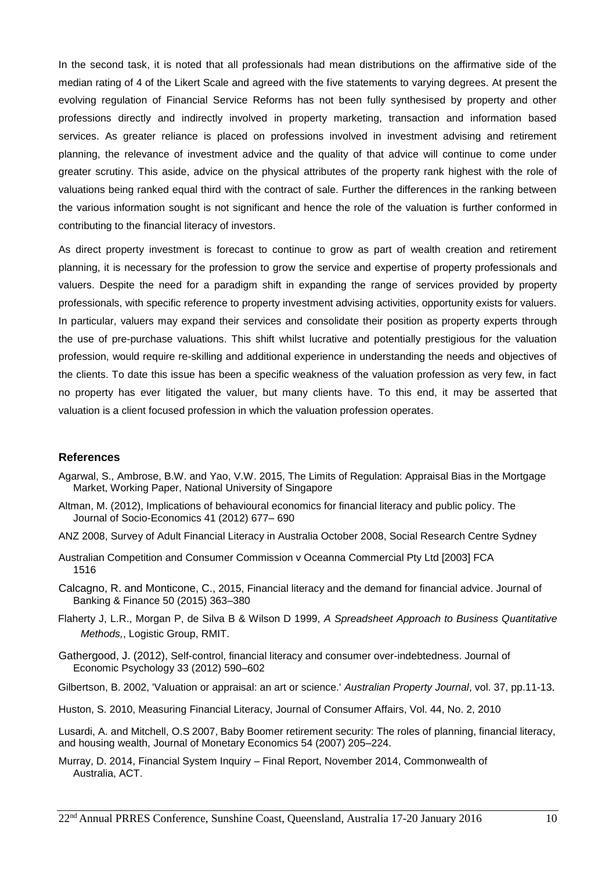In the second task, it is noted that all professionals had mean distributions on the affirmative side of the median rating of 4 of the Likert Scale and agreed with the five statements to varying degrees. At present the evolving regulation of Financial Service Reforms has not been fully synthesised by property and other professions directly and indirectly involved in property marketing, transaction and information based services. As greater reliance is placed on professions involved in investment advising and retirement planning, the relevance of investment advice and the quality of that advice will continue to come under greater scrutiny. This aside, advice on the physical attributes of the property rank highest with the role of valuations being ranked equal third with the contract of sale. Further the differences in the ranking between the various information sought is not significant and hence the role of the valuation is further conformed in contributing to the financial literacy of investors.

As direct property investment is forecast to continue to grow as part of wealth creation and retirement planning, it is necessary for the profession to grow the service and expertise of property professionals and valuers. Despite the need for a paradigm shift in expanding the range of services provided by property professionals, with specific reference to property investment advising activities, opportunity exists for valuers. In particular, valuers may expand their services and consolidate their position as property experts through the use of pre-purchase valuations. This shift whilst lucrative and potentially prestigious for the valuation profession, would require re-skilling and additional experience in understanding the needs and objectives of the clients. To date this issue has been a specific weakness of the valuation profession as very few, in fact no property has ever litigated the valuer, but many clients have. To this end, it may be asserted that valuation is a client focused profession in which the valuation profession operates.

#### **References**

- Agarwal, S., Ambrose, B.W. and Yao, V.W. 2015, The Limits of Regulation: Appraisal Bias in the Mortgage Market, Working Paper, National University of Singapore
- Altman, M. (2012), Implications of behavioural economics for financial literacy and public policy. The Journal of Socio-Economics 41 (2012) 677– 690
- ANZ 2008, Survey of Adult Financial Literacy in Australia October 2008, Social Research Centre Sydney
- Australian Competition and Consumer Commission v Oceanna Commercial Pty Ltd [2003] FCA 1516
- Calcagno, R. and Monticone, C., 2015, Financial literacy and the demand for financial advice. Journal of Banking & Finance 50 (2015) 363–380
- Flaherty J, L.R., Morgan P, de Silva B & Wilson D 1999, *A Spreadsheet Approach to Business Quantitative Methods,*, Logistic Group, RMIT.
- Gathergood, J. (2012), Self-control, financial literacy and consumer over-indebtedness. Journal of Economic Psychology 33 (2012) 590–602
- Gilbertson, B. 2002, 'Valuation or appraisal: an art or science.' *Australian Property Journal*, vol. 37, pp.11-13.
- Huston, S. 2010, Measuring Financial Literacy, Journal of Consumer Affairs, Vol. 44, No. 2, 2010

Lusardi, A. and Mitchell, O.S 2007, Baby Boomer retirement security: The roles of planning, financial literacy, and housing wealth, Journal of Monetary Economics 54 (2007) 205–224.

Murray, D. 2014, Financial System Inquiry – Final Report, November 2014, Commonwealth of Australia, ACT.